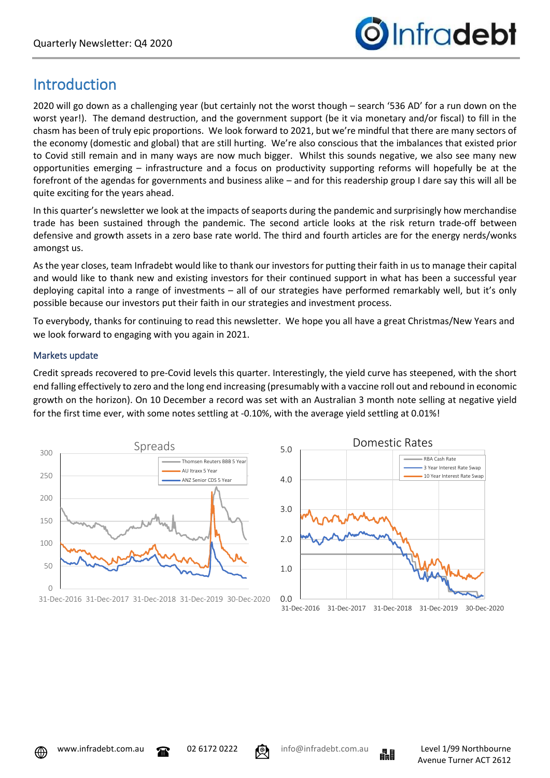

# Introduction

2020 will go down as a challenging year (but certainly not the worst though – search '536 AD' for a run down on the worst year!). The demand destruction, and the government support (be it via monetary and/or fiscal) to fill in the chasm has been of truly epic proportions. We look forward to 2021, but we're mindful that there are many sectors of the economy (domestic and global) that are still hurting. We're also conscious that the imbalances that existed prior to Covid still remain and in many ways are now much bigger. Whilst this sounds negative, we also see many new opportunities emerging – infrastructure and a focus on productivity supporting reforms will hopefully be at the forefront of the agendas for governments and business alike – and for this readership group I dare say this will all be quite exciting for the years ahead.

In this quarter's newsletter we look at the impacts of seaports during the pandemic and surprisingly how merchandise trade has been sustained through the pandemic. The second article looks at the risk return trade-off between defensive and growth assets in a zero base rate world. The third and fourth articles are for the energy nerds/wonks amongst us.

As the year closes, team Infradebt would like to thank our investors for putting their faith in us to manage their capital and would like to thank new and existing investors for their continued support in what has been a successful year deploying capital into a range of investments – all of our strategies have performed remarkably well, but it's only possible because our investors put their faith in our strategies and investment process.

To everybody, thanks for continuing to read this newsletter. We hope you all have a great Christmas/New Years and we look forward to engaging with you again in 2021.

## Markets update

Credit spreads recovered to pre-Covid levels this quarter. Interestingly, the yield curve has steepened, with the short end falling effectively to zero and the long end increasing (presumably with a vaccine roll out and rebound in economic growth on the horizon). On 10 December a record was set with an Australian 3 month note selling at negative yield for the first time ever, with some notes settling at -0.10%, with the average yield settling at 0.01%!







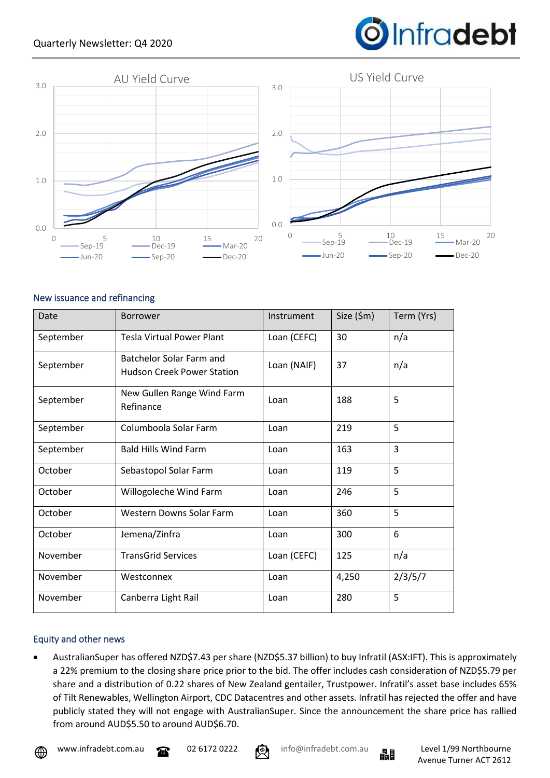

## New issuance and refinancing

| Date      | <b>Borrower</b>                                                              | Instrument  | Size (\$m) | Term (Yrs) |
|-----------|------------------------------------------------------------------------------|-------------|------------|------------|
| September | <b>Tesla Virtual Power Plant</b>                                             | Loan (CEFC) | 30         | n/a        |
| September | Batchelor Solar Farm and<br>Loan (NAIF)<br><b>Hudson Creek Power Station</b> |             | 37         | n/a        |
| September | New Gullen Range Wind Farm<br>Refinance                                      | Loan        | 188        | 5          |
| September | Columboola Solar Farm                                                        | Loan        | 219        | 5          |
| September | <b>Bald Hills Wind Farm</b>                                                  | Loan        | 163        | 3          |
| October   | Sebastopol Solar Farm                                                        | Loan        | 119        | 5          |
| October   | Willogoleche Wind Farm                                                       | Loan        | 246        | 5          |
| October   | <b>Western Downs Solar Farm</b>                                              | Loan        | 360        | 5          |
| October   | Jemena/Zinfra                                                                | Loan        | 300        | 6          |
| November  | <b>TransGrid Services</b>                                                    | Loan (CEFC) | 125        | n/a        |
| November  | Westconnex                                                                   | Loan        | 4,250      | 2/3/5/7    |
| November  | Canberra Light Rail                                                          | Loan        | 280        | 5          |

## Equity and other news

• AustralianSuper has offered NZD\$7.43 per share (NZD\$5.37 billion) to buy Infratil (ASX:IFT). This is approximately a 22% premium to the closing share price prior to the bid. The offer includes cash consideration of NZD\$5.79 per share and a distribution of 0.22 shares of New Zealand gentailer, Trustpower. Infratil's asset base includes 65% of Tilt Renewables, Wellington Airport, CDC Datacentres and other assets. Infratil has rejected the offer and have publicly stated they will not engage with AustralianSuper. Since the announcement the share price has rallied from around AUD\$5.50 to around AUD\$6.70.



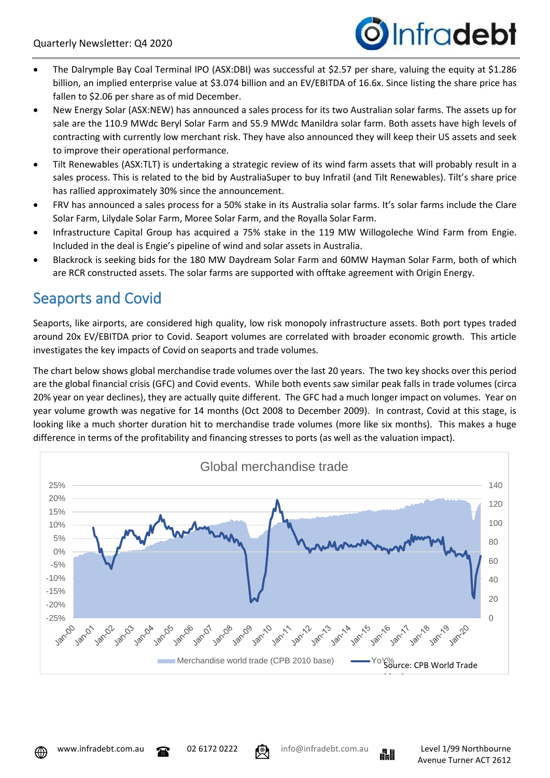

- The Dalrymple Bay Coal Terminal IPO (ASX:DBI) was successful at \$2.57 per share, valuing the equity at \$1.286 billion, an implied enterprise value at \$3.074 billion and an EV/EBITDA of 16.6x. Since listing the share price has fallen to \$2.06 per share as of mid December.
- New Energy Solar (ASX:NEW) has announced a sales process for its two Australian solar farms. The assets up for sale are the 110.9 MWdc Beryl Solar Farm and 55.9 MWdc Manildra solar farm. Both assets have high levels of contracting with currently low merchant risk. They have also announced they will keep their US assets and seek to improve their operational performance.
- Tilt Renewables (ASX:TLT) is undertaking a strategic review of its wind farm assets that will probably result in a sales process. This is related to the bid by AustraliaSuper to buy Infratil (and Tilt Renewables). Tilt's share price has rallied approximately 30% since the announcement.
- FRV has announced a sales process for a 50% stake in its Australia solar farms. It's solar farms include the Clare Solar Farm, Lilydale Solar Farm, Moree Solar Farm, and the Royalla Solar Farm.
- Infrastructure Capital Group has acquired a 75% stake in the 119 MW Willogoleche Wind Farm from Engie. Included in the deal is Engie's pipeline of wind and solar assets in Australia.
- Blackrock is seeking bids for the 180 MW Daydream Solar Farm and 60MW Hayman Solar Farm, both of which are RCR constructed assets. The solar farms are supported with offtake agreement with Origin Energy.

# Seaports and Covid

Seaports, like airports, are considered high quality, low risk monopoly infrastructure assets. Both port types traded around 20x EV/EBITDA prior to Covid. Seaport volumes are correlated with broader economic growth. This article investigates the key impacts of Covid on seaports and trade volumes.

The chart below shows global merchandise trade volumes over the last 20 years. The two key shocks over this period are the global financial crisis (GFC) and Covid events. While both events saw similar peak falls in trade volumes (circa 20% year on year declines), they are actually quite different. The GFC had a much longer impact on volumes. Year on year volume growth was negative for 14 months (Oct 2008 to December 2009). In contrast, Covid at this stage, is looking like a much shorter duration hit to merchandise trade volumes (more like six months). This makes a huge difference in terms of the profitability and financing stresses to ports (as well as the valuation impact).







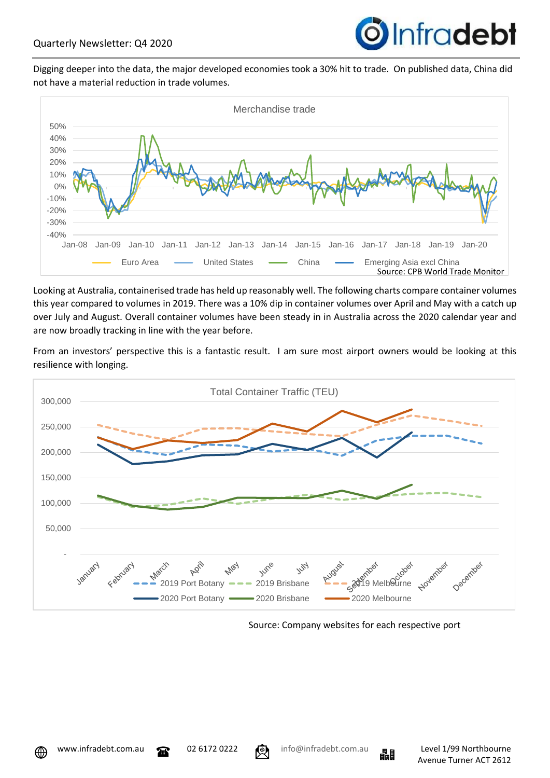

Digging deeper into the data, the major developed economies took a 30% hit to trade. On published data, China did not have a material reduction in trade volumes.



Looking at Australia, containerised trade has held up reasonably well. The following charts compare container volumes this year compared to volumes in 2019. There was a 10% dip in container volumes over April and May with a catch up over July and August. Overall container volumes have been steady in in Australia across the 2020 calendar year and are now broadly tracking in line with the year before.

From an investors' perspective this is a fantastic result. I am sure most airport owners would be looking at this resilience with longing.



Source: Company websites for each respective port



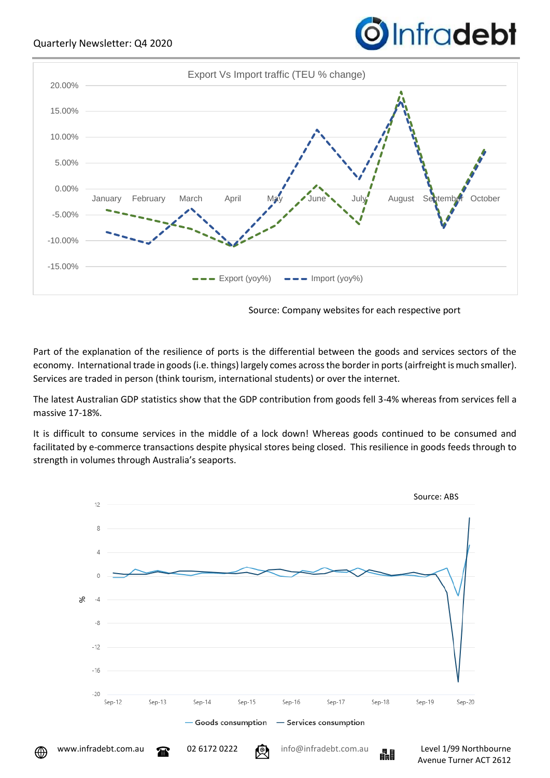

Source: Company websites for each respective port

**O**Infradebt

Part of the explanation of the resilience of ports is the differential between the goods and services sectors of the economy. International trade in goods (i.e. things) largely comes across the border in ports (airfreight is much smaller). Services are traded in person (think tourism, international students) or over the internet.

The latest Australian GDP statistics show that the GDP contribution from goods fell 3-4% whereas from services fell a massive 17-18%.

It is difficult to consume services in the middle of a lock down! Whereas goods continued to be consumed and facilitated by e-commerce transactions despite physical stores being closed. This resilience in goods feeds through to strength in volumes through Australia's seaports.

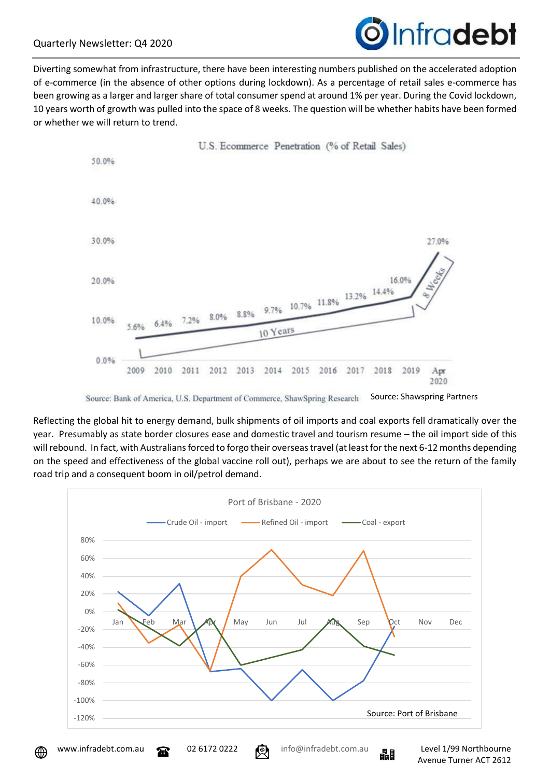

Diverting somewhat from infrastructure, there have been interesting numbers published on the accelerated adoption of e-commerce (in the absence of other options during lockdown). As a percentage of retail sales e-commerce has been growing as a larger and larger share of total consumer spend at around 1% per year. During the Covid lockdown, 10 years worth of growth was pulled into the space of 8 weeks. The question will be whether habits have been formed or whether we will return to trend.



Source: Shawspring Partners Source: Bank of America, U.S. Department of Commerce, ShawSpring Research

Reflecting the global hit to energy demand, bulk shipments of oil imports and coal exports fell dramatically over the year. Presumably as state border closures ease and domestic travel and tourism resume – the oil import side of this will rebound. In fact, with Australians forced to forgo their overseas travel (at least for the next 6-12 months depending on the speed and effectiveness of the global vaccine roll out), perhaps we are about to see the return of the family road trip and a consequent boom in oil/petrol demand.



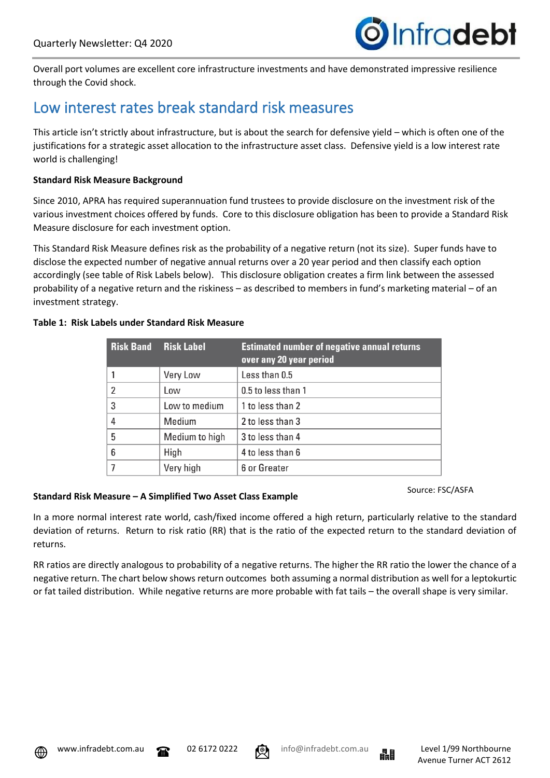

Overall port volumes are excellent core infrastructure investments and have demonstrated impressive resilience through the Covid shock.

## Low interest rates break standard risk measures

This article isn't strictly about infrastructure, but is about the search for defensive yield – which is often one of the justifications for a strategic asset allocation to the infrastructure asset class. Defensive yield is a low interest rate world is challenging!

#### **Standard Risk Measure Background**

Since 2010, APRA has required superannuation fund trustees to provide disclosure on the investment risk of the various investment choices offered by funds. Core to this disclosure obligation has been to provide a Standard Risk Measure disclosure for each investment option.

This Standard Risk Measure defines risk as the probability of a negative return (not its size). Super funds have to disclose the expected number of negative annual returns over a 20 year period and then classify each option accordingly (see table of Risk Labels below). This disclosure obligation creates a firm link between the assessed probability of a negative return and the riskiness – as described to members in fund's marketing material – of an investment strategy.

#### **Table 1: Risk Labels under Standard Risk Measure**

| <b>Risk Band</b> | <b>Risk Label</b> | <b>Estimated number of negative annual returns</b><br>over any 20 year period |
|------------------|-------------------|-------------------------------------------------------------------------------|
|                  | Very Low          | Less than 0.5                                                                 |
| $\overline{2}$   | Low               | 0.5 to less than 1                                                            |
| 3                | Low to medium     | 1 to less than 2                                                              |
| 4                | Medium            | 2 to less than 3                                                              |
| 5                | Medium to high    | 3 to less than 4                                                              |
| 6                | High              | 4 to less than 6                                                              |
|                  | Very high         | 6 or Greater                                                                  |

#### **Standard Risk Measure – A Simplified Two Asset Class Example**

Source: FSC/ASFA

In a more normal interest rate world, cash/fixed income offered a high return, particularly relative to the standard deviation of returns. Return to risk ratio (RR) that is the ratio of the expected return to the standard deviation of returns.

RR ratios are directly analogous to probability of a negative returns. The higher the RR ratio the lower the chance of a negative return. The chart below shows return outcomes both assuming a normal distribution as well for a leptokurtic or fat tailed distribution. While negative returns are more probable with fat tails – the overall shape is very similar.





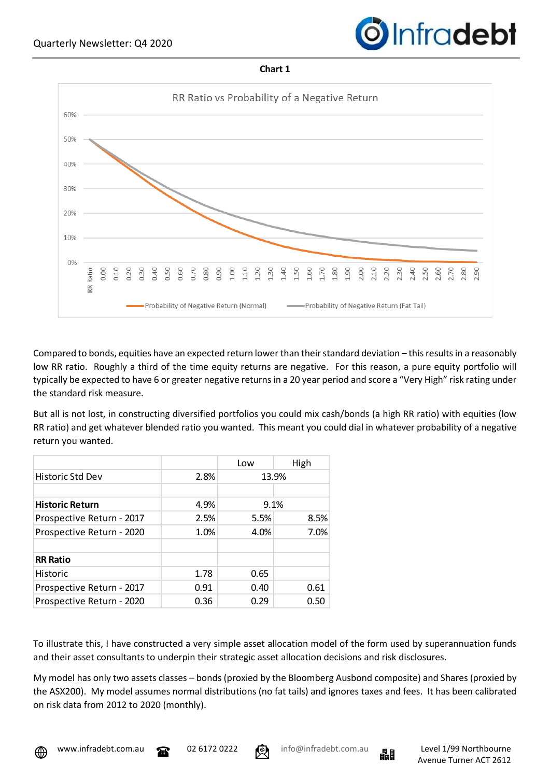

#### **Chart 1**



Compared to bonds, equities have an expected return lower than their standard deviation – this results in a reasonably low RR ratio. Roughly a third of the time equity returns are negative. For this reason, a pure equity portfolio will typically be expected to have 6 or greater negative returns in a 20 year period and score a "Very High" risk rating under the standard risk measure.

But all is not lost, in constructing diversified portfolios you could mix cash/bonds (a high RR ratio) with equities (low RR ratio) and get whatever blended ratio you wanted. This meant you could dial in whatever probability of a negative return you wanted.

|                           |      | Low   | High |  |
|---------------------------|------|-------|------|--|
| Historic Std Dev          | 2.8% | 13.9% |      |  |
|                           |      |       |      |  |
| <b>Historic Return</b>    | 4.9% |       | 9.1% |  |
| Prospective Return - 2017 | 2.5% | 5.5%  | 8.5% |  |
| Prospective Return - 2020 | 1.0% | 4.0%  | 7.0% |  |
|                           |      |       |      |  |
| <b>RR Ratio</b>           |      |       |      |  |
| <b>Historic</b>           | 1.78 | 0.65  |      |  |
| Prospective Return - 2017 | 0.91 | 0.40  | 0.61 |  |
| Prospective Return - 2020 | 0.36 | 0.29  | 0.50 |  |
|                           |      |       |      |  |

To illustrate this, I have constructed a very simple asset allocation model of the form used by superannuation funds and their asset consultants to underpin their strategic asset allocation decisions and risk disclosures.

My model has only two assets classes – bonds (proxied by the Bloomberg Ausbond composite) and Shares (proxied by the ASX200). My model assumes normal distributions (no fat tails) and ignores taxes and fees. It has been calibrated on risk data from 2012 to 2020 (monthly).





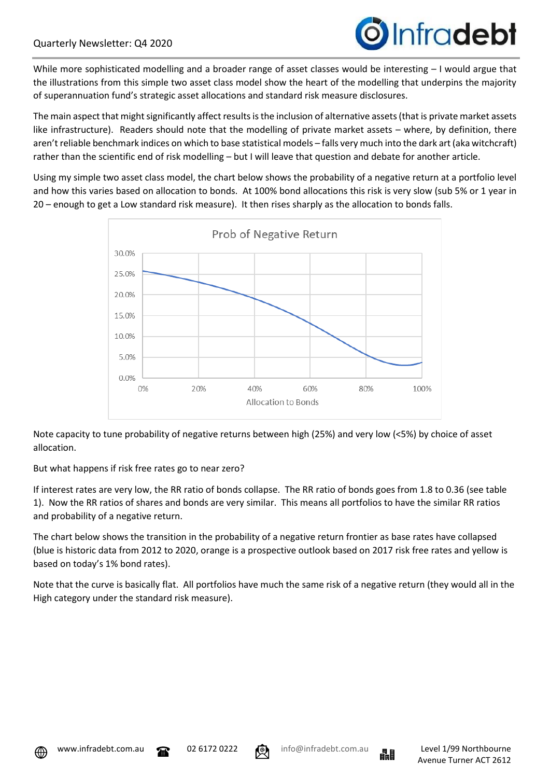

While more sophisticated modelling and a broader range of asset classes would be interesting – I would argue that the illustrations from this simple two asset class model show the heart of the modelling that underpins the majority of superannuation fund's strategic asset allocations and standard risk measure disclosures.

The main aspect that might significantly affect results is the inclusion of alternative assets (that is private market assets like infrastructure). Readers should note that the modelling of private market assets – where, by definition, there aren't reliable benchmark indices on which to base statistical models – falls very much into the dark art (aka witchcraft) rather than the scientific end of risk modelling – but I will leave that question and debate for another article.

Using my simple two asset class model, the chart below shows the probability of a negative return at a portfolio level and how this varies based on allocation to bonds. At 100% bond allocations this risk is very slow (sub 5% or 1 year in 20 – enough to get a Low standard risk measure). It then rises sharply as the allocation to bonds falls.



Note capacity to tune probability of negative returns between high (25%) and very low (<5%) by choice of asset allocation.

But what happens if risk free rates go to near zero?

If interest rates are very low, the RR ratio of bonds collapse. The RR ratio of bonds goes from 1.8 to 0.36 (see table 1). Now the RR ratios of shares and bonds are very similar. This means all portfolios to have the similar RR ratios and probability of a negative return.

The chart below shows the transition in the probability of a negative return frontier as base rates have collapsed (blue is historic data from 2012 to 2020, orange is a prospective outlook based on 2017 risk free rates and yellow is based on today's 1% bond rates).

Note that the curve is basically flat. All portfolios have much the same risk of a negative return (they would all in the High category under the standard risk measure).







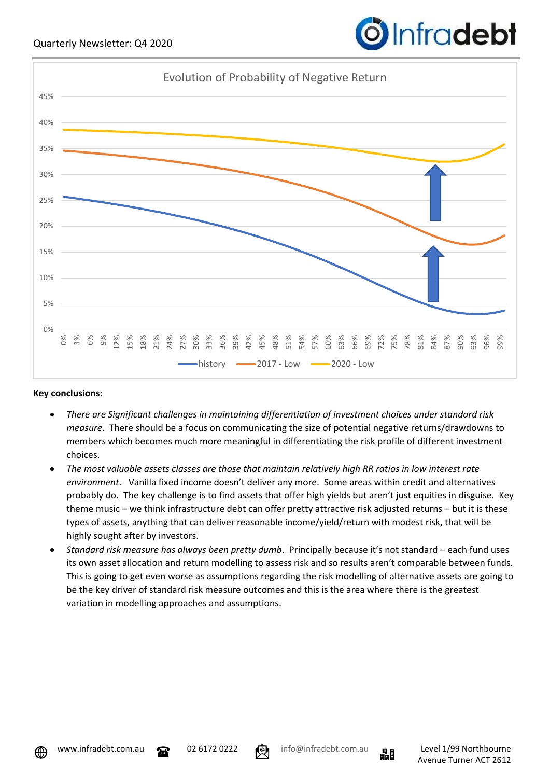

## **Key conclusions:**

- *There are Significant challenges in maintaining differentiation of investment choices under standard risk measure*. There should be a focus on communicating the size of potential negative returns/drawdowns to members which becomes much more meaningful in differentiating the risk profile of different investment choices.
- *The most valuable assets classes are those that maintain relatively high RR ratios in low interest rate environment*. Vanilla fixed income doesn't deliver any more. Some areas within credit and alternatives probably do. The key challenge is to find assets that offer high yields but aren't just equities in disguise. Key theme music – we think infrastructure debt can offer pretty attractive risk adjusted returns – but it is these types of assets, anything that can deliver reasonable income/yield/return with modest risk, that will be highly sought after by investors.
- *Standard risk measure has always been pretty dumb*. Principally because it's not standard each fund uses its own asset allocation and return modelling to assess risk and so results aren't comparable between funds. This is going to get even worse as assumptions regarding the risk modelling of alternative assets are going to be the key driver of standard risk measure outcomes and this is the area where there is the greatest variation in modelling approaches and assumptions.





**O**Infradebt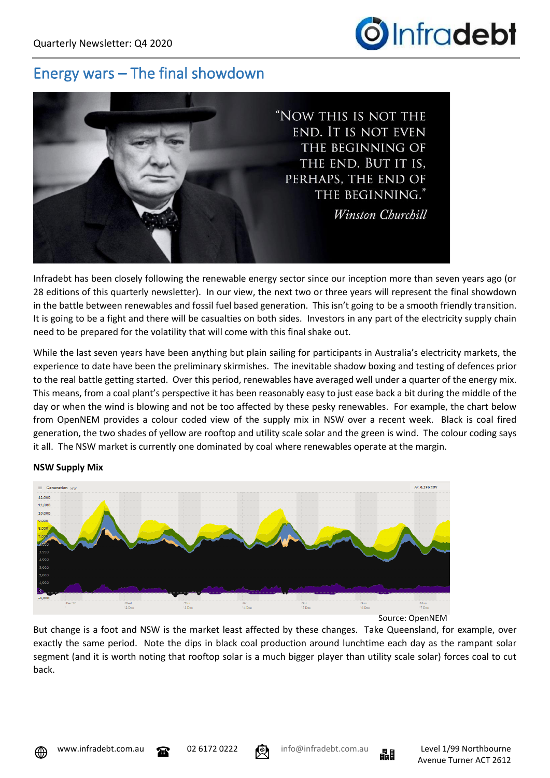

## Energy wars – The final showdown



Infradebt has been closely following the renewable energy sector since our inception more than seven years ago (or 28 editions of this quarterly newsletter). In our view, the next two or three years will represent the final showdown in the battle between renewables and fossil fuel based generation. This isn't going to be a smooth friendly transition. It is going to be a fight and there will be casualties on both sides. Investors in any part of the electricity supply chain need to be prepared for the volatility that will come with this final shake out.

While the last seven years have been anything but plain sailing for participants in Australia's electricity markets, the experience to date have been the preliminary skirmishes. The inevitable shadow boxing and testing of defences prior to the real battle getting started. Over this period, renewables have averaged well under a quarter of the energy mix. This means, from a coal plant's perspective it has been reasonably easy to just ease back a bit during the middle of the day or when the wind is blowing and not be too affected by these pesky renewables. For example, the chart below from OpenNEM provides a colour coded view of the supply mix in NSW over a recent week. Black is coal fired generation, the two shades of yellow are rooftop and utility scale solar and the green is wind. The colour coding says it all. The NSW market is currently one dominated by coal where renewables operate at the margin.



## **NSW Supply Mix**

Source: OpenNEM

But change is a foot and NSW is the market least affected by these changes. Take Queensland, for example, over exactly the same period. Note the dips in black coal production around lunchtime each day as the rampant solar segment (and it is worth noting that rooftop solar is a much bigger player than utility scale solar) forces coal to cut back.



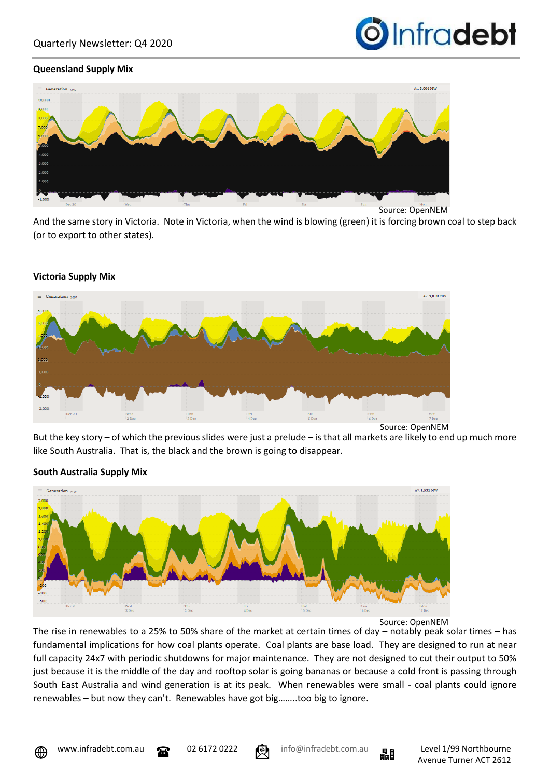

#### **Queensland Supply Mix**



And the same story in Victoria. Note in Victoria, when the wind is blowing (green) it is forcing brown coal to step back (or to export to other states).



#### **Victoria Supply Mix**

Source: OpenNEM

But the key story – of which the previous slides were just a prelude – is that all markets are likely to end up much more like South Australia. That is, the black and the brown is going to disappear.



## **South Australia Supply Mix**

Source: OpenNEM

The rise in renewables to a 25% to 50% share of the market at certain times of day – notably peak solar times – has fundamental implications for how coal plants operate. Coal plants are base load. They are designed to run at near full capacity 24x7 with periodic shutdowns for major maintenance. They are not designed to cut their output to 50% just because it is the middle of the day and rooftop solar is going bananas or because a cold front is passing through South East Australia and wind generation is at its peak. When renewables were small - coal plants could ignore renewables – but now they can't. Renewables have got big……..too big to ignore.



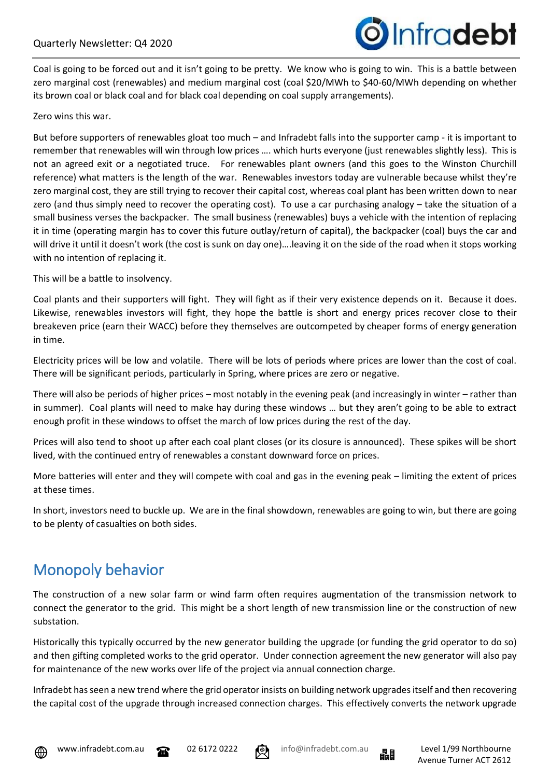

Coal is going to be forced out and it isn't going to be pretty. We know who is going to win. This is a battle between zero marginal cost (renewables) and medium marginal cost (coal \$20/MWh to \$40-60/MWh depending on whether its brown coal or black coal and for black coal depending on coal supply arrangements).

#### Zero wins this war.

But before supporters of renewables gloat too much – and Infradebt falls into the supporter camp - it is important to remember that renewables will win through low prices …. which hurts everyone (just renewables slightly less). This is not an agreed exit or a negotiated truce. For renewables plant owners (and this goes to the Winston Churchill reference) what matters is the length of the war. Renewables investors today are vulnerable because whilst they're zero marginal cost, they are still trying to recover their capital cost, whereas coal plant has been written down to near zero (and thus simply need to recover the operating cost). To use a car purchasing analogy – take the situation of a small business verses the backpacker. The small business (renewables) buys a vehicle with the intention of replacing it in time (operating margin has to cover this future outlay/return of capital), the backpacker (coal) buys the car and will drive it until it doesn't work (the cost is sunk on day one)….leaving it on the side of the road when it stops working with no intention of replacing it.

This will be a battle to insolvency.

Coal plants and their supporters will fight. They will fight as if their very existence depends on it. Because it does. Likewise, renewables investors will fight, they hope the battle is short and energy prices recover close to their breakeven price (earn their WACC) before they themselves are outcompeted by cheaper forms of energy generation in time.

Electricity prices will be low and volatile. There will be lots of periods where prices are lower than the cost of coal. There will be significant periods, particularly in Spring, where prices are zero or negative.

There will also be periods of higher prices – most notably in the evening peak (and increasingly in winter – rather than in summer). Coal plants will need to make hay during these windows … but they aren't going to be able to extract enough profit in these windows to offset the march of low prices during the rest of the day.

Prices will also tend to shoot up after each coal plant closes (or its closure is announced). These spikes will be short lived, with the continued entry of renewables a constant downward force on prices.

More batteries will enter and they will compete with coal and gas in the evening peak – limiting the extent of prices at these times.

In short, investors need to buckle up. We are in the final showdown, renewables are going to win, but there are going to be plenty of casualties on both sides.

# Monopoly behavior

The construction of a new solar farm or wind farm often requires augmentation of the transmission network to connect the generator to the grid. This might be a short length of new transmission line or the construction of new substation.

Historically this typically occurred by the new generator building the upgrade (or funding the grid operator to do so) and then gifting completed works to the grid operator. Under connection agreement the new generator will also pay for maintenance of the new works over life of the project via annual connection charge.

Infradebt has seen a new trend where the grid operator insists on building network upgradesitself and then recovering the capital cost of the upgrade through increased connection charges. This effectively converts the network upgrade